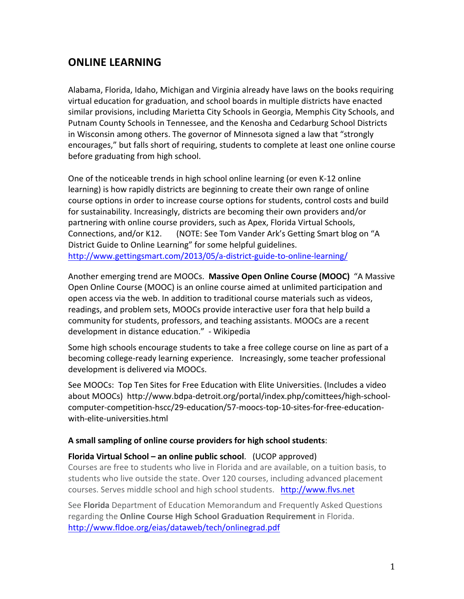## **ONLINE LEARNING**

Alabama, Florida, Idaho, Michigan and Virginia already have laws on the books requiring virtual education for graduation, and school boards in multiple districts have enacted similar provisions, including Marietta City Schools in Georgia, Memphis City Schools, and Putnam County Schools in Tennessee, and the Kenosha and Cedarburg School Districts in'Wisconsin'among others. The governor of Minnesota signed a law that "strongly" encourages," but falls short of requiring, students to complete at least one online course before graduating from high school.

One of the noticeable trends in high school online learning (or even K-12 online learning) is how rapidly districts are beginning to create their own range of online course options in order to increase course options for students, control costs and build for sustainability. Increasingly, districts are becoming their own providers and/or partnering with online course providers, such as Apex, Florida Virtual Schools, Connections, and/or K12. (NOTE: See Tom Vander Ark's Getting Smart blog on "A District Guide to Online Learning" for some helpful guidelines. http://www.gettingsmart.com/2013/05/a-district-guide-to-online-learning/

Another emerging trend are MOOCs. Massive Open Online Course (MOOC) "A Massive Open Online Course (MOOC) is an online course aimed at unlimited participation and open access via the web. In addition to traditional course materials such as videos, readings, and problem sets, MOOCs provide interactive user fora that help build a community for students, professors, and teaching assistants. MOOCs are a recent development in distance education." - Wikipedia

Some high schools encourage students to take a free college course on line as part of a becoming college-ready learning experience. Increasingly, some teacher professional development is delivered via MOOCs.

See MOOCs: Top Ten Sites for Free Education with Elite Universities. (Includes a video about MOOCs) http://www.bdpa-detroit.org/portal/index.php/comittees/high-schoolcomputer-competition-hscc/29-education/57-moocs-top-10-sites-for-free-educationwith-elite-universities.html

## A small sampling of online course providers for high school students:

## **Florida Virtual School – an online public school.** (UCOP approved)

Courses are free to students who live in Florida and are available, on a tuition basis, to students who live outside the state. Over 120 courses, including advanced placement courses. Serves middle school and high school students. http://www.flvs.net

See **Florida** Department of Education Memorandum and Frequently Asked Questions regarding the **Online Course High School Graduation Requirement** in Florida. http://www.fldoe.org/eias/dataweb/tech/onlinegrad.pdf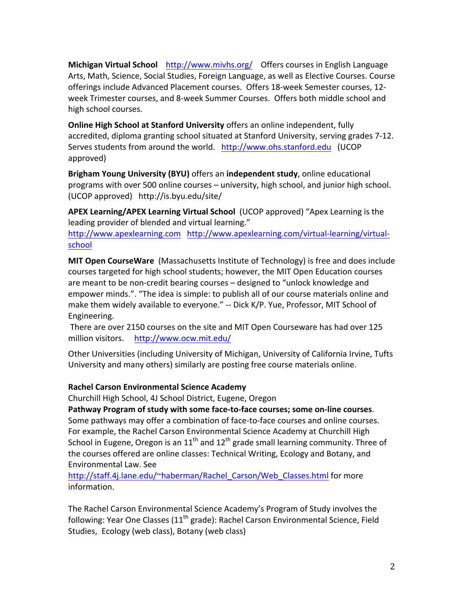**Michigan Virtual School** http://www.mivhs.org/ Offers courses in English Language Arts, Math, Science, Social Studies, Foreign Language, as well as Elective Courses. Course offerings include Advanced Placement courses. Offers 18-week Semester courses, 12week Trimester courses, and 8-week Summer Courses. Offers both middle school and high school courses.

**Online High School at Stanford University** offers an online independent, fully accredited, diploma granting school situated at Stanford University, serving grades 7-12. Serves students from around the world. http://www.ohs.stanford.edu (UCOP) approved)

Brigham Young University (BYU) offers an independent study, online educational programs with over 500 online courses – university, high school, and junior high school. (UCOP approved) http://is.byu.edu/site/

APEX Learning/APEX Learning Virtual School (UCOP approved) "Apex Learning is the leading provider of blended and virtual learning."

http://www.apexlearning.com http://www.apexlearning.com/virtual-learning/virtualschool

**MIT Open CourseWare** (Massachusetts Institute of Technology) is free and does include courses targeted for high school students; however, the MIT Open Education courses are meant to be non-credit bearing courses - designed to "unlock knowledge and empower minds.". "The idea is simple: to publish all of our course materials online and make them widely available to everyone." -- Dick K/P. Yue, Professor, MIT School of Engineering.'

There are over 2150 courses on the site and MIT Open Courseware has had over 125 million visitors. http://www.ocw.mit.edu/

Other Universities (including University of Michigan, University of California Irvine, Tufts University and many others) similarly are posting free course materials online.

## **Rachel Carson Environmental Science Academy**

Churchill High School, 4J School District, Eugene, Oregon

Pathway Program of study with some face-to-face courses; some on-line courses. Some pathways may offer a combination of face-to-face courses and online courses. For example, the Rachel Carson Environmental Science Academy at Churchill High School in Eugene, Oregon is an  $11<sup>th</sup>$  and  $12<sup>th</sup>$  grade small learning community. Three of the courses offered are online classes: Technical Writing, Ecology and Botany, and Environmental'Law.'See

http://staff.4j.lane.edu/~haberman/Rachel\_Carson/Web\_Classes.html for more information.

The Rachel Carson Environmental Science Academy's Program of Study involves the following: Year One Classes ( $11<sup>th</sup>$  grade): Rachel Carson Environmental Science, Field Studies, Ecology (web class), Botany (web class)